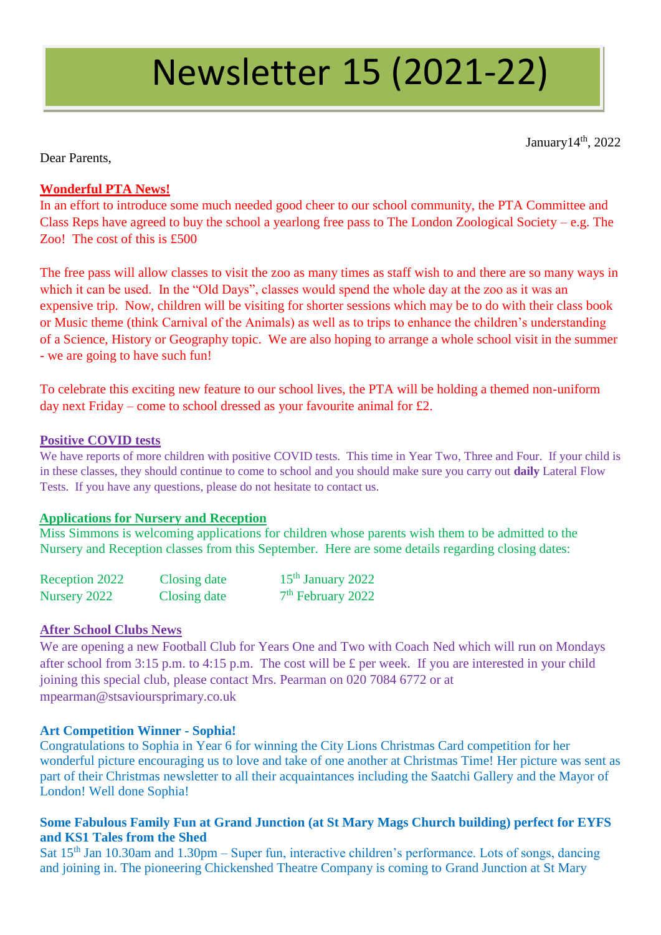# Newsletter 15 (2021-22)

January 14<sup>th</sup>, 2022

Dear Parents,

# **Wonderful PTA News!**

In an effort to introduce some much needed good cheer to our school community, the PTA Committee and Class Reps have agreed to buy the school a yearlong free pass to The London Zoological Society – e.g. The Zoo! The cost of this is £500

The free pass will allow classes to visit the zoo as many times as staff wish to and there are so many ways in which it can be used. In the "Old Days", classes would spend the whole day at the zoo as it was an expensive trip. Now, children will be visiting for shorter sessions which may be to do with their class book or Music theme (think Carnival of the Animals) as well as to trips to enhance the children's understanding of a Science, History or Geography topic. We are also hoping to arrange a whole school visit in the summer - we are going to have such fun!

To celebrate this exciting new feature to our school lives, the PTA will be holding a themed non-uniform day next Friday – come to school dressed as your favourite animal for £2.

#### **Positive COVID tests**

We have reports of more children with positive COVID tests. This time in Year Two, Three and Four. If your child is in these classes, they should continue to come to school and you should make sure you carry out **daily** Lateral Flow Tests. If you have any questions, please do not hesitate to contact us.

#### **Applications for Nursery and Reception**

Miss Simmons is welcoming applications for children whose parents wish them to be admitted to the Nursery and Reception classes from this September. Here are some details regarding closing dates:

| Reception 2022 | Closing date | 15 <sup>th</sup> January 2022 |
|----------------|--------------|-------------------------------|
| Nursery 2022   | Closing date | $7th$ February 2022           |

# **After School Clubs News**

We are opening a new Football Club for Years One and Two with Coach Ned which will run on Mondays after school from 3:15 p.m. to 4:15 p.m. The cost will be £ per week. If you are interested in your child joining this special club, please contact Mrs. Pearman on 020 7084 6772 or at mpearman@stsavioursprimary.co.uk

# **Art Competition Winner - Sophia!**

Congratulations to Sophia in Year 6 for winning the City Lions Christmas Card competition for her wonderful picture encouraging us to love and take of one another at Christmas Time! Her picture was sent as part of their Christmas newsletter to all their acquaintances including the Saatchi Gallery and the Mayor of London! Well done Sophia!

# **Some Fabulous Family Fun at Grand Junction (at St Mary Mags Church building) perfect for EYFS and KS1 Tales from the Shed**

Sat 15<sup>th</sup> Jan 10.30am and 1.30pm – Super fun, interactive children's performance. Lots of songs, dancing and joining in. The pioneering Chickenshed Theatre Company is coming to Grand Junction at St Mary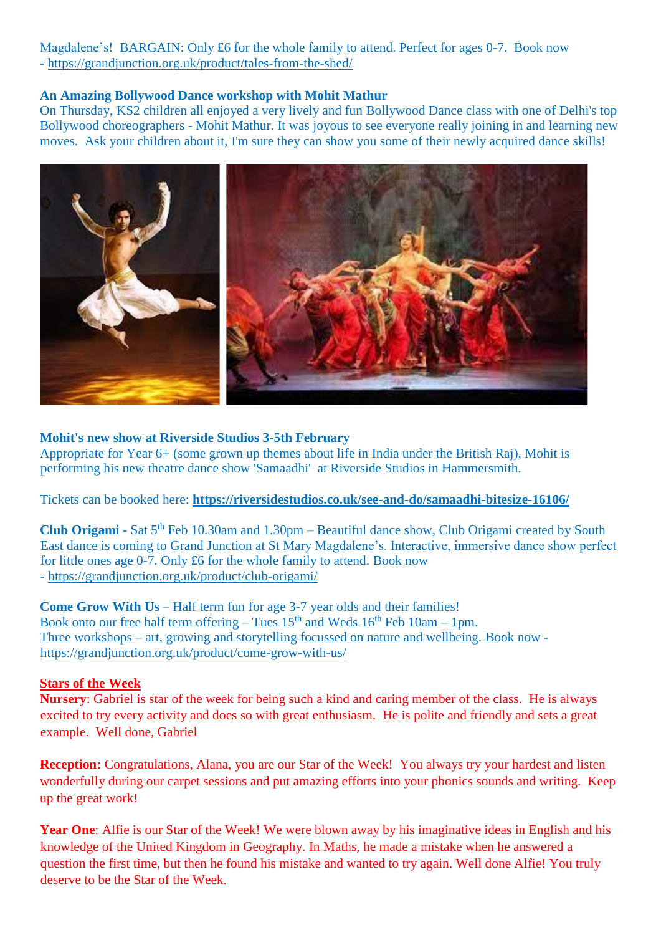Magdalene's! BARGAIN: Only £6 for the whole family to attend. Perfect for ages 0-7. Book now - <https://grandjunction.org.uk/product/tales-from-the-shed/>

#### **An Amazing Bollywood Dance workshop with Mohit Mathur**

On Thursday, KS2 children all enjoyed a very lively and fun Bollywood Dance class with one of Delhi's top Bollywood choreographers - Mohit Mathur. It was joyous to see everyone really joining in and learning new moves. Ask your children about it, I'm sure they can show you some of their newly acquired dance skills!



#### **Mohit's new show at Riverside Studios 3-5th February**

Appropriate for Year 6+ (some grown up themes about life in India under the British Raj), Mohit is performing his new theatre dance show 'Samaadhi' at Riverside Studios in Hammersmith.

Tickets can be booked here: **<https://riversidestudios.co.uk/see-and-do/samaadhi-bitesize-16106/>**

Club Origami - Sat 5<sup>th</sup> Feb 10.30am and 1.30pm – Beautiful dance show, Club Origami created by South East dance is coming to Grand Junction at St Mary Magdalene's. Interactive, immersive dance show perfect for little ones age 0-7. Only £6 for the whole family to attend. Book now - <https://grandjunction.org.uk/product/club-origami/>

**Come Grow With Us** – Half term fun for age 3-7 year olds and their families! Book onto our free half term offering – Tues  $15<sup>th</sup>$  and Weds  $16<sup>th</sup>$  Feb 10am – 1pm. Three workshops – art, growing and storytelling focussed on nature and wellbeing. Book now <https://grandjunction.org.uk/product/come-grow-with-us/>

# **Stars of the Week**

**Nursery**: Gabriel is star of the week for being such a kind and caring member of the class. He is always excited to try every activity and does so with great enthusiasm. He is polite and friendly and sets a great example. Well done, Gabriel

**Reception:** Congratulations, Alana, you are our Star of the Week! You always try your hardest and listen wonderfully during our carpet sessions and put amazing efforts into your phonics sounds and writing. Keep up the great work!

**Year One**: Alfie is our Star of the Week! We were blown away by his imaginative ideas in English and his knowledge of the United Kingdom in Geography. In Maths, he made a mistake when he answered a question the first time, but then he found his mistake and wanted to try again. Well done Alfie! You truly deserve to be the Star of the Week.